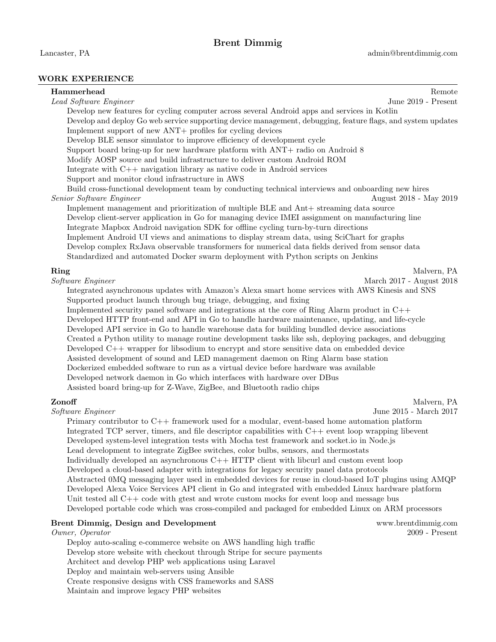Lancaster, PA admin@brentdimmig.com

## WORK EXPERIENCE

| Hammerhead                                                                                                                                                                                                                                                                                     | Remote                   |  |                                                                                            |  |
|------------------------------------------------------------------------------------------------------------------------------------------------------------------------------------------------------------------------------------------------------------------------------------------------|--------------------------|--|--------------------------------------------------------------------------------------------|--|
| Lead Software Engineer                                                                                                                                                                                                                                                                         | June 2019 - Present      |  |                                                                                            |  |
| Develop new features for cycling computer across several Android apps and services in Kotlin                                                                                                                                                                                                   |                          |  |                                                                                            |  |
| Develop and deploy Go web service supporting device management, debugging, feature flags, and system updates<br>Implement support of new ANT+ profiles for cycling devices                                                                                                                     |                          |  |                                                                                            |  |
| Develop BLE sensor simulator to improve efficiency of development cycle                                                                                                                                                                                                                        |                          |  |                                                                                            |  |
| Support board bring-up for new hardware platform with ANT+ radio on Android 8                                                                                                                                                                                                                  |                          |  |                                                                                            |  |
| Modify AOSP source and build infrastructure to deliver custom Android ROM                                                                                                                                                                                                                      |                          |  |                                                                                            |  |
| Integrate with $C_{++}$ navigation library as native code in Android services                                                                                                                                                                                                                  |                          |  |                                                                                            |  |
| Support and monitor cloud infrastructure in AWS                                                                                                                                                                                                                                                |                          |  |                                                                                            |  |
| Build cross-functional development team by conducting technical interviews and onboarding new hires                                                                                                                                                                                            |                          |  |                                                                                            |  |
| Senior Software Engineer                                                                                                                                                                                                                                                                       | August 2018 - May 2019   |  |                                                                                            |  |
| Implement management and prioritization of multiple BLE and Ant+ streaming data source                                                                                                                                                                                                         |                          |  |                                                                                            |  |
| Develop client-server application in Go for managing device IMEI assignment on manufacturing line                                                                                                                                                                                              |                          |  |                                                                                            |  |
| Integrate Mapbox Android navigation SDK for offline cycling turn-by-turn directions                                                                                                                                                                                                            |                          |  |                                                                                            |  |
| Implement Android UI views and animations to display stream data, using SciChart for graphs                                                                                                                                                                                                    |                          |  |                                                                                            |  |
| Develop complex RxJava observable transformers for numerical data fields derived from sensor data                                                                                                                                                                                              |                          |  |                                                                                            |  |
| Standardized and automated Docker swarm deployment with Python scripts on Jenkins                                                                                                                                                                                                              |                          |  |                                                                                            |  |
| Ring                                                                                                                                                                                                                                                                                           | Malvern, PA              |  |                                                                                            |  |
| Software Engineer                                                                                                                                                                                                                                                                              | March 2017 - August 2018 |  |                                                                                            |  |
| Integrated asynchronous updates with Amazon's Alexa smart home services with AWS Kinesis and SNS                                                                                                                                                                                               |                          |  |                                                                                            |  |
| Supported product launch through bug triage, debugging, and fixing                                                                                                                                                                                                                             |                          |  |                                                                                            |  |
| Implemented security panel software and integrations at the core of Ring Alarm product in $C++$                                                                                                                                                                                                |                          |  |                                                                                            |  |
| Developed HTTP front-end and API in Go to handle hardware maintenance, updating, and life-cycle                                                                                                                                                                                                |                          |  |                                                                                            |  |
| Developed API service in Go to handle warehouse data for building bundled device associations<br>Created a Python utility to manage routine development tasks like ssh, deploying packages, and debugging                                                                                      |                          |  |                                                                                            |  |
| Developed $C++$ wrapper for libsodium to encrypt and store sensitive data on embedded device                                                                                                                                                                                                   |                          |  |                                                                                            |  |
| Assisted development of sound and LED management daemon on Ring Alarm base station                                                                                                                                                                                                             |                          |  |                                                                                            |  |
| Dockerized embedded software to run as a virtual device before hardware was available                                                                                                                                                                                                          |                          |  |                                                                                            |  |
| Developed network daemon in Go which interfaces with hardware over DBus                                                                                                                                                                                                                        |                          |  |                                                                                            |  |
| Assisted board bring-up for Z-Wave, ZigBee, and Bluetooth radio chips                                                                                                                                                                                                                          |                          |  |                                                                                            |  |
| Zonoff                                                                                                                                                                                                                                                                                         | Malvern, PA              |  |                                                                                            |  |
| Software Engineer                                                                                                                                                                                                                                                                              | June 2015 - March 2017   |  |                                                                                            |  |
| Primary contributor to $C++$ framework used for a modular, event-based home automation platform                                                                                                                                                                                                |                          |  |                                                                                            |  |
| Integrated TCP server, timers, and file descriptor capabilities with $C++$ event loop wrapping libevent<br>Developed system-level integration tests with Mocha test framework and socket.io in Node.js<br>Lead development to integrate ZigBee switches, color bulbs, sensors, and thermostats |                          |  |                                                                                            |  |
|                                                                                                                                                                                                                                                                                                |                          |  | Individually developed an asynchronous C++ HTTP client with libcurl and custom event loop  |  |
|                                                                                                                                                                                                                                                                                                |                          |  | Developed a cloud-based adapter with integrations for legacy security panel data protocols |  |
| Abstracted 0MQ messaging layer used in embedded devices for reuse in cloud-based IoT plugins using AMQP                                                                                                                                                                                        |                          |  |                                                                                            |  |
| Developed Alexa Voice Services API client in Go and integrated with embedded Linux hardware platform                                                                                                                                                                                           |                          |  |                                                                                            |  |
| Unit tested all C++ code with gtest and wrote custom mocks for event loop and message bus                                                                                                                                                                                                      |                          |  |                                                                                            |  |
| Developed portable code which was cross-compiled and packaged for embedded Linux on ARM processors                                                                                                                                                                                             |                          |  |                                                                                            |  |
| <b>Brent Dimmig, Design and Development</b>                                                                                                                                                                                                                                                    | www.brentdimmig.com      |  |                                                                                            |  |
| Owner, Operator                                                                                                                                                                                                                                                                                | $2009$ - Present         |  |                                                                                            |  |
| Deploy auto-scaling e-commerce website on AWS handling high traffic                                                                                                                                                                                                                            |                          |  |                                                                                            |  |
| Develop store website with checkout through Stripe for secure payments                                                                                                                                                                                                                         |                          |  |                                                                                            |  |

Architect and develop PHP web applications using Laravel

Deploy and maintain web-servers using Ansible

Create responsive designs with CSS frameworks and SASS

Maintain and improve legacy PHP websites